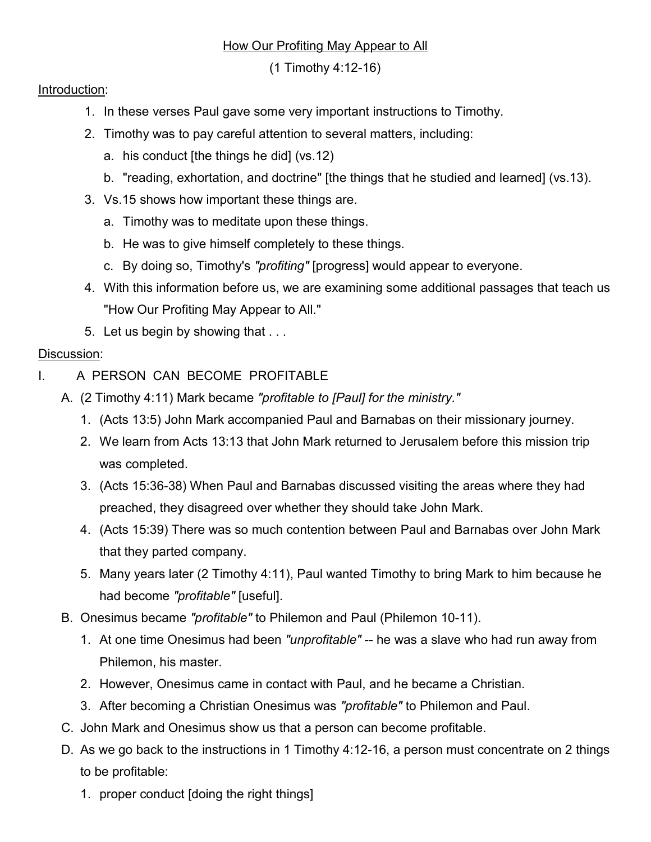## How Our Profiting May Appear to All

(1 Timothy 4:12-16)

## Introduction:

- 1. In these verses Paul gave some very important instructions to Timothy.
- 2. Timothy was to pay careful attention to several matters, including:
	- a. his conduct [the things he did] (vs.12)
	- b. "reading, exhortation, and doctrine" [the things that he studied and learned] (vs.13).
- 3. Vs.15 shows how important these things are.
	- a. Timothy was to meditate upon these things.
	- b. He was to give himself completely to these things.
	- c. By doing so, Timothy's "profiting" [progress] would appear to everyone.
- 4. With this information before us, we are examining some additional passages that teach us "How Our Profiting May Appear to All."
- 5. Let us begin by showing that . . .

## Discussion:

- I. A PERSON CAN BECOME PROFITABLE
	- A. (2 Timothy 4:11) Mark became "profitable to [Paul] for the ministry."
		- 1. (Acts 13:5) John Mark accompanied Paul and Barnabas on their missionary journey.
		- 2. We learn from Acts 13:13 that John Mark returned to Jerusalem before this mission trip was completed.
		- 3. (Acts 15:36-38) When Paul and Barnabas discussed visiting the areas where they had preached, they disagreed over whether they should take John Mark.
		- 4. (Acts 15:39) There was so much contention between Paul and Barnabas over John Mark that they parted company.
		- 5. Many years later (2 Timothy 4:11), Paul wanted Timothy to bring Mark to him because he had become "profitable" [useful].
	- B. Onesimus became "profitable" to Philemon and Paul (Philemon 10-11).
		- 1. At one time Onesimus had been "unprofitable" -- he was a slave who had run away from Philemon, his master.
		- 2. However, Onesimus came in contact with Paul, and he became a Christian.
		- 3. After becoming a Christian Onesimus was "profitable" to Philemon and Paul.
	- C. John Mark and Onesimus show us that a person can become profitable.
	- D. As we go back to the instructions in 1 Timothy 4:12-16, a person must concentrate on 2 things to be profitable:
		- 1. proper conduct [doing the right things]